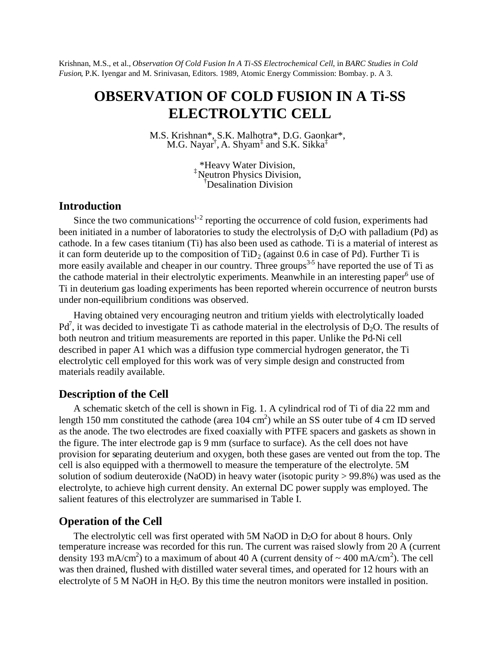Krishnan, M.S., et al., *Observation Of Cold Fusion In A Ti-SS Electrochemical Cell*, in *BARC Studies in Cold Fusion*, P.K. Iyengar and M. Srinivasan, Editors. 1989, Atomic Energy Commission: Bombay. p. A 3.

# **OBSERVATION OF COLD FUSION IN A Ti-SS ELECTROLYTIC CELL**

M.S. Krishnan\*, S.K. Malhotra\*, D.G. Gaonkar\*,  $M.G.$  Nayar<sup>†</sup>, A. Shyam<sup>‡</sup> and S.K. Sikka<sup>‡</sup>

> \*Heavy Water Division, ‡Neutron Physics Division, †Desalination Division

# **Introduction**

Since the two communications<sup>1-2</sup> reporting the occurrence of cold fusion, experiments had been initiated in a number of laboratories to study the electrolysis of  $D_2O$  with palladium (Pd) as cathode. In a few cases titanium (Ti) has also been used as cathode. Ti is a material of interest as it can form deuteride up to the composition of  $\text{TiD}_2$  (against 0.6 in case of Pd). Further Ti is more easily available and cheaper in our country. Three groups<sup>3-5</sup> have reported the use of Ti as the cathode material in their electrolytic experiments. Meanwhile in an interesting paper<sup>6</sup> use of Ti in deuterium gas loading experiments has been reported wherein occurrence of neutron bursts under non-equilibrium conditions was observed.

Having obtained very encouraging neutron and tritium yields with electrolytically loaded  $Pd^7$ , it was decided to investigate Ti as cathode material in the electrolysis of  $D_2O$ . The results of both neutron and tritium measurements are reported in this paper. Unlike the Pd-Ni cell described in paper A1 which was a diffusion type commercial hydrogen generator, the Ti electrolytic cell employed for this work was of very simple design and constructed from materials readily available.

#### **Description of the Cell**

A schematic sketch of the cell is shown in Fig. 1. A cylindrical rod of Ti of dia 22 mm and length 150 mm constituted the cathode (area  $104 \text{ cm}^2$ ) while an SS outer tube of 4 cm ID served as the anode. The two electrodes are fixed coaxially with PTFE spacers and gaskets as shown in the figure. The inter electrode gap is 9 mm (surface to surface). As the cell does not have provision for separating deuterium and oxygen, both these gases are vented out from the top. The cell is also equipped with a thermowell to measure the temperature of the electrolyte. 5M solution of sodium deuteroxide (NaOD) in heavy water (isotopic purity > 99.8%) was used as the electrolyte, to achieve high current density. An external DC power supply was employed. The salient features of this electrolyzer are summarised in Table I.

## **Operation of the Cell**

The electrolytic cell was first operated with 5M NaOD in D<sub>2</sub>O for about 8 hours. Only temperature increase was recorded for this run. The current was raised slowly from 20 A (current density 193 mA/cm<sup>2</sup>) to a maximum of about 40 A (current density of  $\sim 400$  mA/cm<sup>2</sup>). The cell was then drained, flushed with distilled water several times, and operated for 12 hours with an electrolyte of 5 M NaOH in H<sub>2</sub>O. By this time the neutron monitors were installed in position.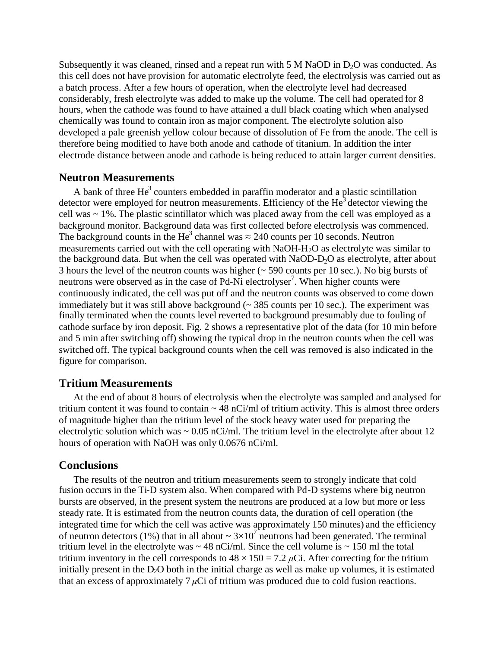Subsequently it was cleaned, rinsed and a repeat run with 5 M NaOD in  $D_2O$  was conducted. As this cell does not have provision for automatic electrolyte feed, the electrolysis was carried out as a batch process. After a few hours of operation, when the electrolyte level had decreased considerably, fresh electrolyte was added to make up the volume. The cell had operated for 8 hours, when the cathode was found to have attained a dull black coating which when analysed chemically was found to contain iron as major component. The electrolyte solution also developed a pale greenish yellow colour because of dissolution of Fe from the anode. The cell is therefore being modified to have both anode and cathode of titanium. In addition the inter electrode distance between anode and cathode is being reduced to attain larger current densities.

### **Neutron Measurements**

A bank of three  $He<sup>3</sup>$  counters embedded in paraffin moderator and a plastic scintillation detector were employed for neutron measurements. Efficiency of the  $He<sup>3</sup>$  detector viewing the cell was ~ 1%. The plastic scintillator which was placed away from the cell was employed as a background monitor. Background data was first collected before electrolysis was commenced. The background counts in the He<sup>3</sup> channel was  $\approx$  240 counts per 10 seconds. Neutron measurements carried out with the cell operating with NaOH-H2O as electrolyte was similar to the background data. But when the cell was operated with  $NaOD-D<sub>2</sub>O$  as electrolyte, after about 3 hours the level of the neutron counts was higher (~ 590 counts per 10 sec.). No big bursts of neutrons were observed as in the case of Pd-Ni electrolyser<sup>7</sup>. When higher counts were continuously indicated, the cell was put off and the neutron counts was observed to come down immediately but it was still above background  $\sim$  385 counts per 10 sec.). The experiment was finally terminated when the counts level reverted to background presumably due to fouling of cathode surface by iron deposit. Fig. 2 shows a representative plot of the data (for 10 min before and 5 min after switching off) showing the typical drop in the neutron counts when the cell was switched off. The typical background counts when the cell was removed is also indicated in the figure for comparison.

# **Tritium Measurements**

At the end of about 8 hours of electrolysis when the electrolyte was sampled and analysed for tritium content it was found to contain  $\sim$  48 nCi/ml of tritium activity. This is almost three orders of magnitude higher than the tritium level of the stock heavy water used for preparing the electrolytic solution which was  $\sim 0.05$  nCi/ml. The tritium level in the electrolyte after about 12 hours of operation with NaOH was only 0.0676 nCi/ml.

#### **Conclusions**

The results of the neutron and tritium measurements seem to strongly indicate that cold fusion occurs in the Ti-D system also. When compared with Pd-D systems where big neutron bursts are observed, in the present system the neutrons are produced at a low but more or less steady rate. It is estimated from the neutron counts data, the duration of cell operation (the integrated time for which the cell was active was approximately 150 minutes) and the efficiency of neutron detectors (1%) that in all about  $\sim 3 \times 10^{7}$  neutrons had been generated. The terminal tritium level in the electrolyte was  $\sim 48$  nCi/ml. Since the cell volume is  $\sim 150$  ml the total tritium inventory in the cell corresponds to  $48 \times 150 = 7.2 \mu$ Ci. After correcting for the tritium initially present in the  $D_2O$  both in the initial charge as well as make up volumes, it is estimated that an excess of approximately  $7 \mu$ Ci of tritium was produced due to cold fusion reactions.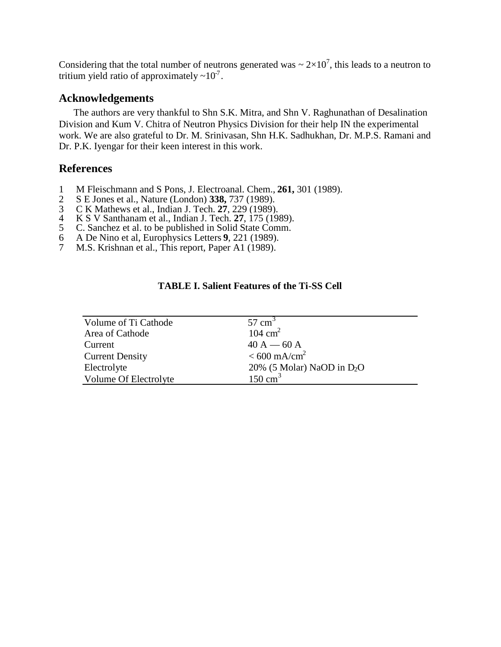Considering that the total number of neutrons generated was  $\sim 2 \times 10^7$ , this leads to a neutron to tritium yield ratio of approximately  $\sim 10^{-7}$ .

### **Acknowledgements**

The authors are very thankful to Shn S.K. Mitra, and Shn V. Raghunathan of Desalination Division and Kum V. Chitra of Neutron Physics Division for their help IN the experimental work. We are also grateful to Dr. M. Srinivasan, Shn H.K. Sadhukhan, Dr. M.P.S. Ramani and Dr. P.K. Iyengar for their keen interest in this work.

# **References**

- 1 M Fleischmann and S Pons, J. Electroanal. Chem., **261,** 301 (1989).
- 2 S E Jones et al., Nature (London) **338,** 737 (1989).
- 3 C K Mathews et al., Indian J. Tech. **27**, 229 (1989).
- 4 K S V Santhanam et al., Indian J. Tech. **27**, 175 (1989).<br>5 C. Sanchez et al. to be published in Solid State Comm.
- 5 C. Sanchez et al. to be published in Solid State Comm.<br>6 A De Nino et al. Europhysics Letters 9, 221 (1989).
- 6 A De Nino et al, Europhysics Letters **9**, 221 (1989).
- M.S. Krishnan et al., This report, Paper A1 (1989).

#### **TABLE I. Salient Features of the Ti-SS Cell**

| $57 \text{ cm}^3$                         |
|-------------------------------------------|
| $104 \text{ cm}^2$                        |
| $40 A - 60 A$                             |
| $< 600$ mA/cm <sup>2</sup>                |
| $20\%$ (5 Molar) NaOD in D <sub>2</sub> O |
| $150 \text{ cm}^3$                        |
|                                           |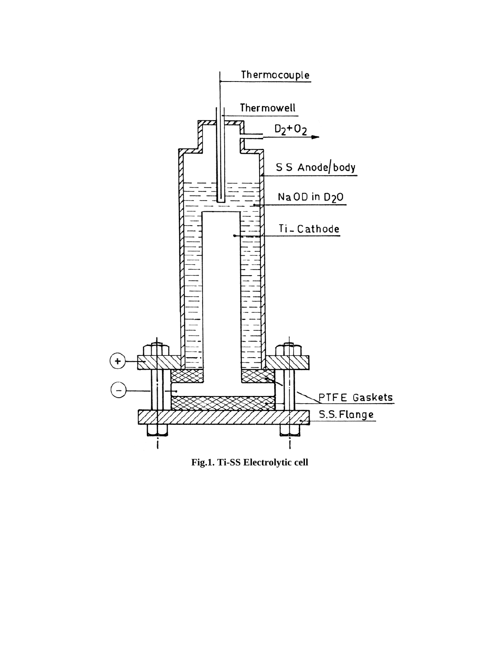

**Fig.1. Ti-SS Electrolytic cell**